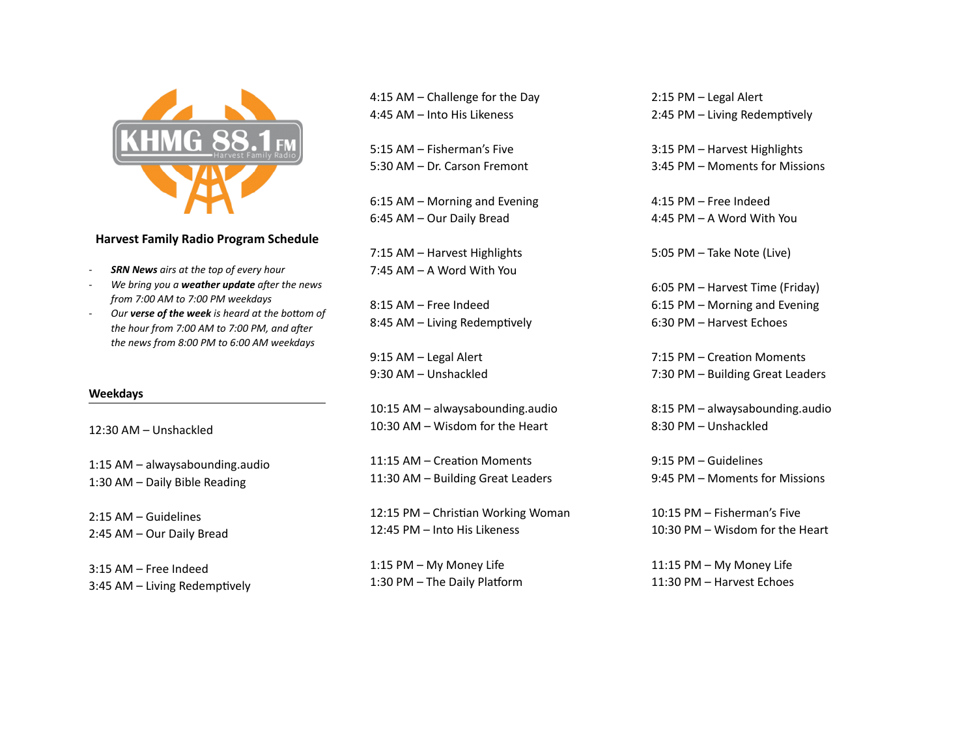

## **Harvest Family Radio Program Schedule**

- **SRN News** airs at the top of every hour
- *We bring you a weather update after the news from 7:00 AM to 7:00 PM weekdays*
- Our **verse of the week** is heard at the bottom of the hour from 7:00 AM to 7:00 PM, and after the news from 8:00 PM to 6:00 AM weekdays

### **Weekdays**

12:30 AM - Unshackled

1:15 AM – alwaysabounding.audio 1:30 AM - Daily Bible Reading

2:15 AM – Guidelines 2:45 AM - Our Daily Bread

 $3:15$  AM – Free Indeed 3:45 AM – Living Redemptively

4:15 AM  $-$  Challenge for the Day 4:45 AM – Into His Likeness

5:15 AM - Fisherman's Five 5:30 AM - Dr. Carson Fremont

 $6:15$  AM – Morning and Evening 6:45 AM - Our Daily Bread

7:15 AM - Harvest Highlights 7:45 AM – A Word With You

8:15 AM – Free Indeed 8:45 AM – Living Redemptively

9:15 AM - Legal Alert 9:30 AM - Unshackled

10:15 AM - alwaysabounding.audio 10:30 AM – Wisdom for the Heart

11:15 AM – Creation Moments 11:30 AM - Building Great Leaders

12:15 PM - Christian Working Woman 12:45 PM - Into His Likeness

1:15 PM - My Money Life 1:30 PM - The Daily Platform 2:15 PM - Legal Alert 2:45 PM - Living Redemptively

3:15 PM - Harvest Highlights 3:45 PM – Moments for Missions

4:15 PM - Free Indeed 4:45 PM – A Word With You

5:05 PM - Take Note (Live)

6:05 PM - Harvest Time (Friday) 6:15 PM – Morning and Evening 6:30 PM - Harvest Echoes

7:15 PM - Creation Moments 7:30 PM - Building Great Leaders

8:15 PM - alwaysabounding.audio 8:30 PM – Unshackled

 $9:15$  PM – Guidelines 9:45 PM – Moments for Missions

10:15 PM - Fisherman's Five 10:30 PM – Wisdom for the Heart

11:15 PM - My Money Life 11:30 PM - Harvest Echoes